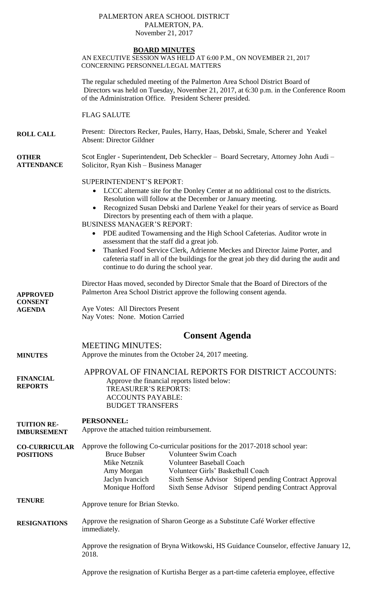### PALMERTON AREA SCHOOL DISTRICT PALMERTON, PA. November 21, 2017

## **BOARD MINUTES**

AN EXECUTIVE SESSION WAS HELD AT 6:00 P.M., ON NOVEMBER 21, 2017 CONCERNING PERSONNEL/LEGAL MATTERS

The regular scheduled meeting of the Palmerton Area School District Board of Directors was held on Tuesday, November 21, 2017, at 6:30 p.m. in the Conference Room of the Administration Office. President Scherer presided.

FLAG SALUTE

**ROLL CALL** Present: Directors Recker, Paules, Harry, Haas, Debski, Smale, Scherer and Yeakel Absent: Director Gildner

#### **OTHER ATTENDANCE** Scot Engler - Superintendent, Deb Scheckler – Board Secretary, Attorney John Audi – Solicitor, Ryan Kish – Business Manager

## SUPERINTENDENT'S REPORT:

- LCCC alternate site for the Donley Center at no additional cost to the districts. Resolution will follow at the December or January meeting.
- Recognized Susan Debski and Darlene Yeakel for their years of service as Board Directors by presenting each of them with a plaque.
- BUSINESS MANAGER'S REPORT:
	- PDE audited Towamensing and the High School Cafeterias. Auditor wrote in assessment that the staff did a great job.
	- Thanked Food Service Clerk, Adrienne Meckes and Director Jaime Porter, and cafeteria staff in all of the buildings for the great job they did during the audit and continue to do during the school year.

Director Haas moved, seconded by Director Smale that the Board of Directors of the Palmerton Area School District approve the following consent agenda.

**CONSENT AGENDA**  Aye Votes: All Directors Present Nay Votes: None. Motion Carried

# **Consent Agenda**

MEETING MINUTES:

**APPROVED** 

**MINUTES** Approve the minutes from the October 24, 2017 meeting.

**FINANCIAL REPORTS** APPROVAL OF FINANCIAL REPORTS FOR DISTRICT ACCOUNTS: Approve the financial reports listed below: TREASURER'S REPORTS: ACCOUNTS PAYABLE: BUDGET TRANSFERS

**TUITION RE-PERSONNEL:**

**IMBURSEMENT** Approve the attached tuition reimbursement.

**CO-CURRICULAR POSITIONS** Approve the following Co-curricular positions for the 2017-2018 school year: Bruce Bubser Volunteer Swim Coach Mike Netznik Volunteer Baseball Coach Amy Morgan Volunteer Girls' Basketball Coach Jaclyn Ivancich Sixth Sense Advisor Stipend pending Contract Approval Monique Hofford Sixth Sense Advisor Stipend pending Contract Approval

**TENURE** Approve tenure for Brian Stevko.

**RESIGNATIONS** Approve the resignation of Sharon George as a Substitute Café Worker effective immediately.

> Approve the resignation of Bryna Witkowski, HS Guidance Counselor, effective January 12, 2018.

Approve the resignation of Kurtisha Berger as a part-time cafeteria employee, effective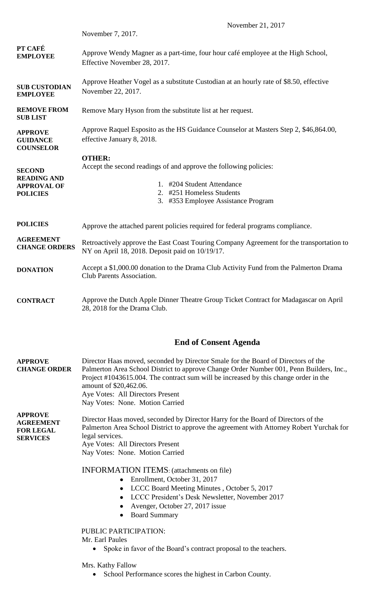|                                                                              | November 21, 2017                                                                                                                                                                    |
|------------------------------------------------------------------------------|--------------------------------------------------------------------------------------------------------------------------------------------------------------------------------------|
|                                                                              | November 7, 2017.                                                                                                                                                                    |
| PT CAFÉ<br><b>EMPLOYEE</b>                                                   | Approve Wendy Magner as a part-time, four hour café employee at the High School,<br>Effective November 28, 2017.                                                                     |
| <b>SUB CUSTODIAN</b><br><b>EMPLOYEE</b>                                      | Approve Heather Vogel as a substitute Custodian at an hourly rate of \$8.50, effective<br>November 22, 2017.                                                                         |
| <b>REMOVE FROM</b><br><b>SUB LIST</b>                                        | Remove Mary Hyson from the substitute list at her request.                                                                                                                           |
| <b>APPROVE</b><br><b>GUIDANCE</b><br><b>COUNSELOR</b>                        | Approve Raquel Esposito as the HS Guidance Counselor at Masters Step 2, \$46,864.00,<br>effective January 8, 2018.                                                                   |
| <b>SECOND</b><br><b>READING AND</b><br><b>APPROVAL OF</b><br><b>POLICIES</b> | <b>OTHER:</b><br>Accept the second readings of and approve the following policies:<br>1. #204 Student Attendance<br>2. #251 Homeless Students<br>3. #353 Employee Assistance Program |
| <b>POLICIES</b>                                                              | Approve the attached parent policies required for federal programs compliance.                                                                                                       |
| <b>AGREEMENT</b><br><b>CHANGE ORDERS</b>                                     | Retroactively approve the East Coast Touring Company Agreement for the transportation to<br>NY on April 18, 2018. Deposit paid on 10/19/17.                                          |
| <b>DONATION</b>                                                              | Accept a \$1,000.00 donation to the Drama Club Activity Fund from the Palmerton Drama<br><b>Club Parents Association.</b>                                                            |
| <b>CONTRACT</b>                                                              | Approve the Dutch Apple Dinner Theatre Group Ticket Contract for Madagascar on April<br>28, 2018 for the Drama Club.                                                                 |
|                                                                              |                                                                                                                                                                                      |

## **End of Consent Agenda**

| <b>APPROVE</b>      | Director Haas moved, seconded by Director Smale for the Board of Directors of the       |
|---------------------|-----------------------------------------------------------------------------------------|
| <b>CHANGE ORDER</b> | Palmerton Area School District to approve Change Order Number 001, Penn Builders, Inc., |
|                     | Project #1043615.004. The contract sum will be increased by this change order in the    |
|                     | amount of \$20,462.06.                                                                  |
|                     | Aye Votes: All Directors Present                                                        |
|                     | Nay Votes: None. Motion Carried                                                         |

**APPROVE AGREEMENT FOR LEGAL SERVICES** Director Haas moved, seconded by Director Harry for the Board of Directors of the Palmerton Area School District to approve the agreement with Attorney Robert Yurchak for legal services. Aye Votes: All Directors Present Nay Votes: None. Motion Carried

INFORMATION ITEMS: (attachments on file)

- Enrollment, October 31, 2017
- LCCC Board Meeting Minutes , October 5, 2017
- LCCC President's Desk Newsletter, November 2017
- Avenger, October 27, 2017 issue
- Board Summary

PUBLIC PARTICIPATION:

Mr. Earl Paules

• Spoke in favor of the Board's contract proposal to the teachers.

Mrs. Kathy Fallow

• School Performance scores the highest in Carbon County.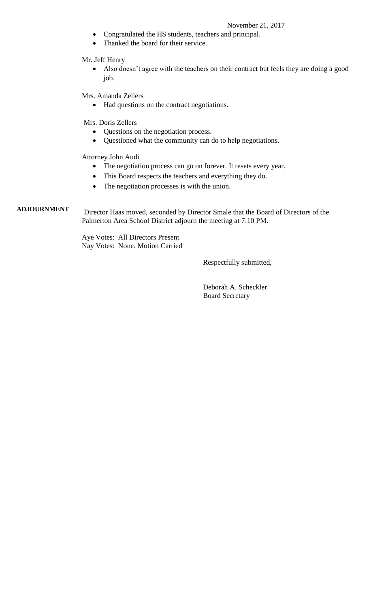## November 21, 2017

- Congratulated the HS students, teachers and principal.
- Thanked the board for their service.

Mr. Jeff Henry

 Also doesn't agree with the teachers on their contract but feels they are doing a good job.

Mrs. Amanda Zellers

• Had questions on the contract negotiations.

Mrs. Doris Zellers

- Questions on the negotiation process.
- Questioned what the community can do to help negotiations.

Attorney John Audi

- The negotiation process can go on forever. It resets every year.
- This Board respects the teachers and everything they do.
- The negotiation processes is with the union.

## **ADJOURNMENT**

Director Haas moved, seconded by Director Smale that the Board of Directors of the Palmerton Area School District adjourn the meeting at 7:10 PM.

> Aye Votes: All Directors Present Nay Votes: None. Motion Carried

> > Respectfully submitted,

 Deborah A. Scheckler Board Secretary